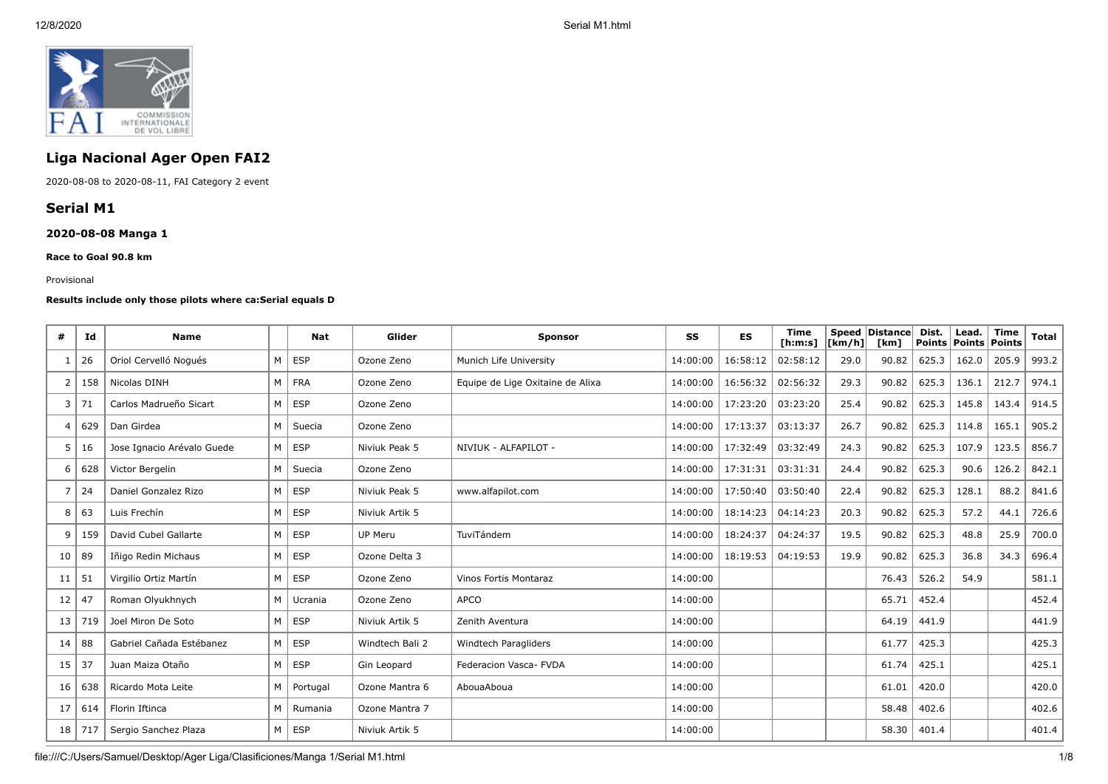

# **Liga Nacional Ager Open FAI2**

2020-08-08 to 2020-08-11, FAI Category 2 event

## **Serial M1**

## **2020-08-08 Manga 1**

**Race to Goal 90.8 km**

#### Provisional

#### **Results include only those pilots where ca:Serial equals D**

| #  | Id  | <b>Name</b>                | Nat           | Glider          | <b>Sponsor</b>                   | SS       | ES       | <b>Time</b><br>[ <b>h</b> : <b>m</b> : <b>s</b> ] | $\lfloor \frac{\text{Km}}{\text{h}} \rfloor$ | Speed Distance<br>[km] | Dist. | Lead.<br>Points   Points   Points | <b>Time</b> | Total |
|----|-----|----------------------------|---------------|-----------------|----------------------------------|----------|----------|---------------------------------------------------|----------------------------------------------|------------------------|-------|-----------------------------------|-------------|-------|
| -1 | 26  | Oriol Cervelló Noqués      | $M \vert$ ESP | Ozone Zeno      | Munich Life University           | 14:00:00 | 16:58:12 | 02:58:12                                          | 29.0                                         | 90.82                  | 625.3 | 162.0                             | 205.9       | 993.2 |
| 2  | 158 | Nicolas DINH               | M FRA         | Ozone Zeno      | Equipe de Lige Oxitaine de Alixa | 14:00:00 | 16:56:32 | 02:56:32                                          | 29.3                                         | 90.82                  | 625.3 | 136.1                             | 212.7       | 974.1 |
| 3  | 71  | Carlos Madrueño Sicart     | $M \vert$ ESP | Ozone Zeno      |                                  | 14:00:00 | 17:23:20 | 03:23:20                                          | 25.4                                         | 90.82                  | 625.3 | 145.8                             | 143.4       | 914.5 |
| 4  | 629 | Dan Girdea                 | M   Suecia    | Ozone Zeno      |                                  | 14:00:00 | 17:13:37 | 03:13:37                                          | 26.7                                         | 90.82                  | 625.3 | 114.8                             | 165.1       | 905.2 |
| 5  | 16  | Jose Ignacio Arévalo Guede | $M \vert$ ESP | Niviuk Peak 5   | NIVIUK - ALFAPILOT -             | 14:00:00 | 17:32:49 | 03:32:49                                          | 24.3                                         | 90.82                  | 625.3 | 107.9                             | 123.5       | 856.7 |
| 6  | 628 | Victor Bergelin            | M   Suecia    | Ozone Zeno      |                                  | 14:00:00 | 17:31:31 | 03:31:31                                          | 24.4                                         | 90.82                  | 625.3 | 90.6                              | 126.2       | 842.1 |
|    | 24  | Daniel Gonzalez Rizo       | $M \vert$ ESP | Niviuk Peak 5   | www.alfapilot.com                | 14:00:00 | 17:50:40 | 03:50:40                                          | 22.4                                         | 90.82                  | 625.3 | 128.1                             | 88.2        | 841.6 |
| 8  | 63  | Luis Frechín               | $M \vert$ ESP | Niviuk Artik 5  |                                  | 14:00:00 | 18:14:23 | 04:14:23                                          | 20.3                                         | 90.82                  | 625.3 | 57.2                              | 44.1        | 726.6 |
| 9  | 159 | David Cubel Gallarte       | $M \vert$ ESP | UP Meru         | TuviTándem                       | 14:00:00 | 18:24:37 | 04:24:37                                          | 19.5                                         | 90.82                  | 625.3 | 48.8                              | 25.9        | 700.0 |
| 10 | 89  | Iñigo Redin Michaus        | $M \vert$ ESP | Ozone Delta 3   |                                  | 14:00:00 | 18:19:53 | 04:19:53                                          | 19.9                                         | 90.82                  | 625.3 | 36.8                              | 34.3        | 696.4 |
| 11 | 51  | Virgilio Ortiz Martín      | $M \vert$ ESP | Ozone Zeno      | Vinos Fortis Montaraz            | 14:00:00 |          |                                                   |                                              | 76.43                  | 526.2 | 54.9                              |             | 581.1 |
| 12 | 47  | Roman Olyukhnych           | M   Ucrania   | Ozone Zeno      | <b>APCO</b>                      | 14:00:00 |          |                                                   |                                              | 65.71                  | 452.4 |                                   |             | 452.4 |
| 13 | 719 | Joel Miron De Soto         | $M \vert$ ESP | Niviuk Artik 5  | Zenith Aventura                  | 14:00:00 |          |                                                   |                                              | 64.19                  | 441.9 |                                   |             | 441.9 |
| 14 | 88  | Gabriel Cañada Estébanez   | $M \vert$ ESP | Windtech Bali 2 | Windtech Paragliders             | 14:00:00 |          |                                                   |                                              | 61.77                  | 425.3 |                                   |             | 425.3 |
| 15 | 37  | Juan Maiza Otaño           | $M \vert$ ESP | Gin Leopard     | Federacion Vasca- FVDA           | 14:00:00 |          |                                                   |                                              | 61.74                  | 425.1 |                                   |             | 425.1 |
| 16 | 638 | Ricardo Mota Leite         | M   Portugal  | Ozone Mantra 6  | AbouaAboua                       | 14:00:00 |          |                                                   |                                              | 61.01                  | 420.0 |                                   |             | 420.0 |
| 17 | 614 | Florin Iftinca             | M   Rumania   | Ozone Mantra 7  |                                  | 14:00:00 |          |                                                   |                                              | 58.48                  | 402.6 |                                   |             | 402.6 |
| 18 | 717 | Sergio Sanchez Plaza       | $M \vert$ ESP | Niviuk Artik 5  |                                  | 14:00:00 |          |                                                   |                                              | 58.30                  | 401.4 |                                   |             | 401.4 |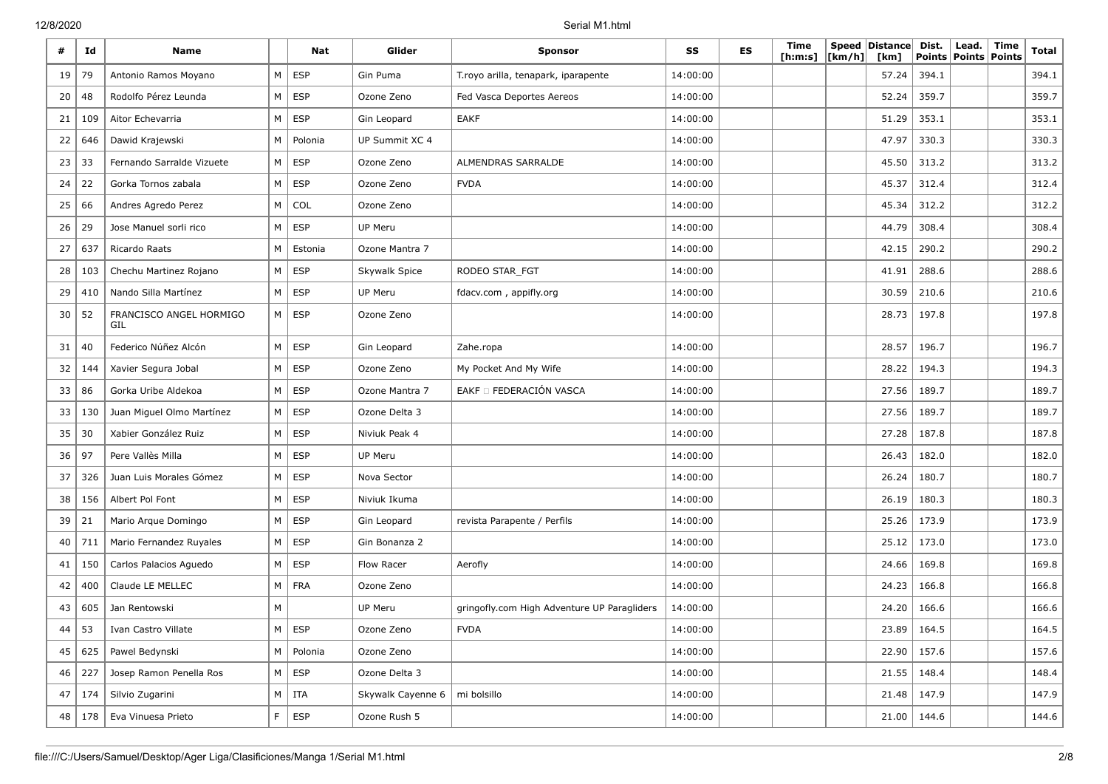| #  | Id      | <b>Name</b>                    |          | Nat           | Glider                          | <b>Sponsor</b>                              | SS       | <b>ES</b> | Time<br>[ <b>h</b> : <b>m</b> : <b>s</b> ] | [km/h] | Speed Distance<br>[km] | Dist.<br><b>Points</b> | Lead.<br><b>Points</b> | Time<br><b>Points</b> | <b>Total</b> |
|----|---------|--------------------------------|----------|---------------|---------------------------------|---------------------------------------------|----------|-----------|--------------------------------------------|--------|------------------------|------------------------|------------------------|-----------------------|--------------|
| 19 | 79      | Antonio Ramos Moyano           | M        | <b>ESP</b>    | Gin Puma                        | T.royo arilla, tenapark, iparapente         | 14:00:00 |           |                                            |        | 57.24                  | 394.1                  |                        |                       | 394.1        |
| 20 | 48      | Rodolfo Pérez Leunda           | M        | <b>ESP</b>    | Ozone Zeno                      | Fed Vasca Deportes Aereos                   | 14:00:00 |           |                                            |        | 52.24                  | 359.7                  |                        |                       | 359.7        |
| 21 | 109     | Aitor Echevarria               | M        | <b>ESP</b>    | Gin Leopard                     | <b>EAKF</b>                                 | 14:00:00 |           |                                            |        | 51.29                  | 353.1                  |                        |                       | 353.1        |
| 22 | 646     | Dawid Krajewski                | M        | Polonia       | UP Summit XC 4                  |                                             | 14:00:00 |           |                                            |        | 47.97                  | 330.3                  |                        |                       | 330.3        |
| 23 | 33      | Fernando Sarralde Vizuete      | $M \mid$ | <b>ESP</b>    | Ozone Zeno                      | ALMENDRAS SARRALDE                          | 14:00:00 |           |                                            |        | 45.50                  | 313.2                  |                        |                       | 313.2        |
| 24 | 22      | Gorka Tornos zabala            | M        | <b>ESP</b>    | Ozone Zeno                      | <b>FVDA</b>                                 | 14:00:00 |           |                                            |        | 45.37                  | 312.4                  |                        |                       | 312.4        |
| 25 | 66      | Andres Agredo Perez            |          | M   COL       | Ozone Zeno                      |                                             | 14:00:00 |           |                                            |        | 45.34                  | 312.2                  |                        |                       | 312.2        |
| 26 | 29      | Jose Manuel sorli rico         | $M \mid$ | <b>ESP</b>    | UP Meru                         |                                             | 14:00:00 |           |                                            |        | 44.79                  | 308.4                  |                        |                       | 308.4        |
| 27 | 637     | Ricardo Raats                  | M I      | Estonia       | Ozone Mantra 7                  |                                             | 14:00:00 |           |                                            |        | 42.15                  | 290.2                  |                        |                       | 290.2        |
| 28 | 103     | Chechu Martinez Rojano         | M        | <b>ESP</b>    | Skywalk Spice                   | RODEO STAR_FGT                              | 14:00:00 |           |                                            |        | 41.91                  | 288.6                  |                        |                       | 288.6        |
| 29 | 410     | Nando Silla Martínez           | $M \mid$ | ESP           | UP Meru                         | fdacv.com, appifly.org                      | 14:00:00 |           |                                            |        | 30.59                  | 210.6                  |                        |                       | 210.6        |
| 30 | 52      | FRANCISCO ANGEL HORMIGO<br>GIL | $M \mid$ | ESP           | Ozone Zeno                      |                                             | 14:00:00 |           |                                            |        | 28.73                  | 197.8                  |                        |                       | 197.8        |
| 31 | 40      | Federico Núñez Alcón           | $M \mid$ | <b>ESP</b>    | Gin Leopard                     | Zahe.ropa                                   | 14:00:00 |           |                                            |        | 28.57                  | 196.7                  |                        |                       | 196.7        |
| 32 | 144     | Xavier Segura Jobal            | M        | <b>ESP</b>    | Ozone Zeno                      | My Pocket And My Wife                       | 14:00:00 |           |                                            |        | 28.22                  | 194.3                  |                        |                       | 194.3        |
| 33 | 86      | Gorka Uribe Aldekoa            | M        | <b>ESP</b>    | Ozone Mantra 7                  | EAKF O FEDERACIÓN VASCA                     | 14:00:00 |           |                                            |        | 27.56                  | 189.7                  |                        |                       | 189.7        |
| 33 | 130     | Juan Miguel Olmo Martínez      | $M \mid$ | ESP           | Ozone Delta 3                   |                                             | 14:00:00 |           |                                            |        | 27.56                  | 189.7                  |                        |                       | 189.7        |
| 35 | 30      | Xabier González Ruiz           | M        | <b>ESP</b>    | Niviuk Peak 4                   |                                             | 14:00:00 |           |                                            |        | 27.28                  | 187.8                  |                        |                       | 187.8        |
| 36 | 97      | Pere Vallès Milla              | M        | <b>ESP</b>    | UP Meru                         |                                             | 14:00:00 |           |                                            |        | 26.43                  | 182.0                  |                        |                       | 182.0        |
| 37 | 326     | Juan Luis Morales Gómez        | M        | ESP           | Nova Sector                     |                                             | 14:00:00 |           |                                            |        | 26.24                  | 180.7                  |                        |                       | 180.7        |
| 38 | 156     | Albert Pol Font                | $M \mid$ | ESP           | Niviuk Ikuma                    |                                             | 14:00:00 |           |                                            |        | 26.19                  | 180.3                  |                        |                       | 180.3        |
| 39 | 21      | Mario Arque Domingo            | $M \mid$ | <b>ESP</b>    | Gin Leopard                     | revista Parapente / Perfils                 | 14:00:00 |           |                                            |        | 25.26                  | 173.9                  |                        |                       | 173.9        |
| 40 | 711     | Mario Fernandez Ruyales        | M        | <b>ESP</b>    | Gin Bonanza 2                   |                                             | 14:00:00 |           |                                            |        | 25.12                  | 173.0                  |                        |                       | 173.0        |
| 41 | 150     | Carlos Palacios Aguedo         | M        | <b>ESP</b>    | Flow Racer                      | Aerofly                                     | 14:00:00 |           |                                            |        | 24.66                  | 169.8                  |                        |                       | 169.8        |
| 42 | 400     | Claude LE MELLEC               |          | M FRA         | Ozone Zeno                      |                                             | 14:00:00 |           |                                            |        | 24.23                  | 166.8                  |                        |                       | 166.8        |
| 43 | 605     | Jan Rentowski                  | M        |               | UP Meru                         | gringofly.com High Adventure UP Paragliders | 14:00:00 |           |                                            |        | 24.20                  | 166.6                  |                        |                       | 166.6        |
|    | 44   53 | Ivan Castro Villate            |          | $M \vert$ ESP | Ozone Zeno                      | <b>FVDA</b>                                 | 14:00:00 |           |                                            |        |                        | 23.89 164.5            |                        |                       | 164.5        |
| 45 | 625     | Pawel Bedynski                 |          | M   Polonia   | Ozone Zeno                      |                                             | 14:00:00 |           |                                            |        |                        | $22.90$   157.6        |                        |                       | 157.6        |
| 46 | 227     | Josep Ramon Penella Ros        |          | $M \vert$ ESP | Ozone Delta 3                   |                                             | 14:00:00 |           |                                            |        |                        | $21.55$   148.4        |                        |                       | 148.4        |
| 47 | 174     | Silvio Zugarini                |          | $M$   ITA     | Skywalk Cayenne 6   mi bolsillo |                                             | 14:00:00 |           |                                            |        | $21.48$   147.9        |                        |                        |                       | 147.9        |
| 48 |         | 178   Eva Vinuesa Prieto       | F        | ESP           | Ozone Rush 5                    |                                             | 14:00:00 |           |                                            |        |                        | $21.00$   144.6        |                        |                       | 144.6        |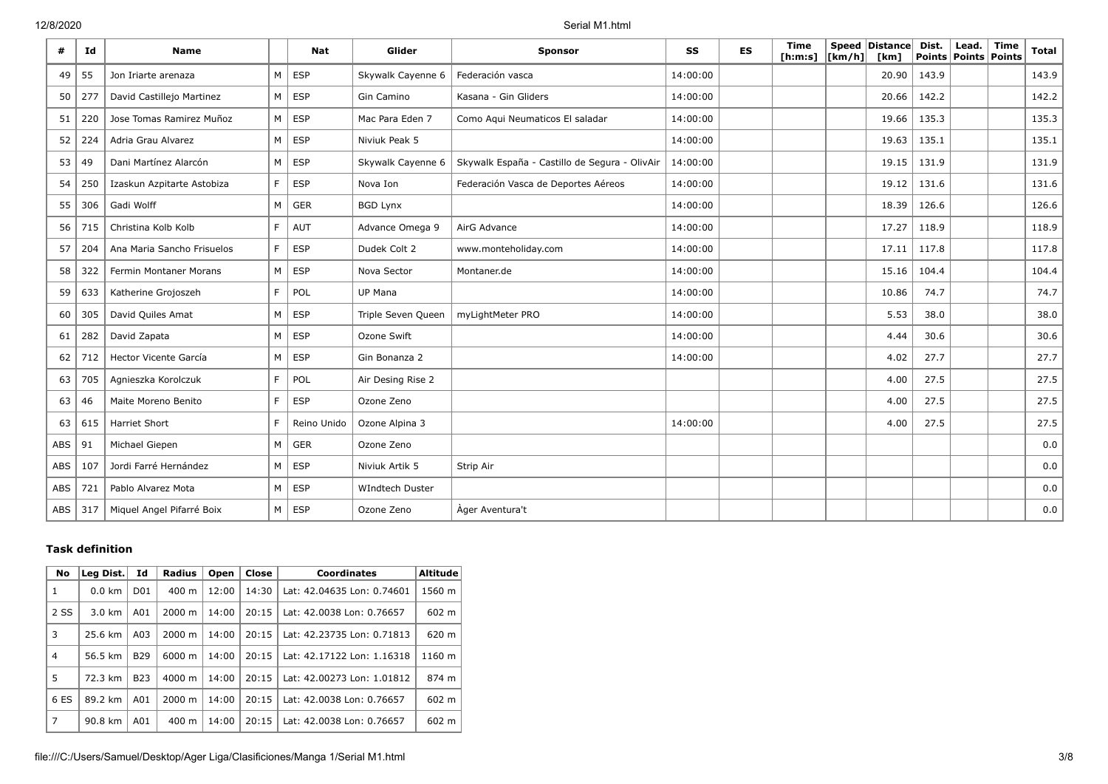| #   | Id  | <b>Name</b>                |                | <b>Nat</b>    | Glider             | <b>Sponsor</b>                                | SS       | <b>ES</b> | <b>Time</b><br>[ <b>h</b> : <b>m</b> : <b>s</b> ] | [km/h] | Speed Distance<br>[km] | Dist. | Lead.<br>Points   Points   Points | Time | Total |
|-----|-----|----------------------------|----------------|---------------|--------------------|-----------------------------------------------|----------|-----------|---------------------------------------------------|--------|------------------------|-------|-----------------------------------|------|-------|
| 49  | 55  | Jon Iriarte arenaza        | M <sub>1</sub> | <b>ESP</b>    | Skywalk Cayenne 6  | Federación vasca                              | 14:00:00 |           |                                                   |        | 20.90                  | 143.9 |                                   |      | 143.9 |
| 50  | 277 | David Castillejo Martinez  |                | $M \vert$ ESP | Gin Camino         | Kasana - Gin Gliders                          | 14:00:00 |           |                                                   |        | 20.66                  | 142.2 |                                   |      | 142.2 |
| 51  | 220 | Jose Tomas Ramirez Muñoz   |                | $M \vert$ ESP | Mac Para Eden 7    | Como Aqui Neumaticos El saladar               | 14:00:00 |           |                                                   |        | 19.66                  | 135.3 |                                   |      | 135.3 |
| 52  | 224 | Adria Grau Alvarez         | M <sub>1</sub> | <b>ESP</b>    | Niviuk Peak 5      |                                               | 14:00:00 |           |                                                   |        | 19.63                  | 135.1 |                                   |      | 135.1 |
| 53  | 49  | Dani Martínez Alarcón      |                | $M \vert$ ESP | Skywalk Cayenne 6  | Skywalk España - Castillo de Segura - OlivAir | 14:00:00 |           |                                                   |        | 19.15                  | 131.9 |                                   |      | 131.9 |
| 54  | 250 | Izaskun Azpitarte Astobiza | F.             | <b>ESP</b>    | Nova Ion           | Federación Vasca de Deportes Aéreos           | 14:00:00 |           |                                                   |        | 19.12                  | 131.6 |                                   |      | 131.6 |
| 55  | 306 | Gadi Wolff                 | $M \mid$       | <b>GER</b>    | <b>BGD Lynx</b>    |                                               | 14:00:00 |           |                                                   |        | 18.39                  | 126.6 |                                   |      | 126.6 |
| 56  | 715 | Christina Kolb Kolb        | F.             | AUT           | Advance Omega 9    | AirG Advance                                  | 14:00:00 |           |                                                   |        | 17.27                  | 118.9 |                                   |      | 118.9 |
| 57  | 204 | Ana Maria Sancho Frisuelos | F.             | <b>ESP</b>    | Dudek Colt 2       | www.monteholiday.com                          | 14:00:00 |           |                                                   |        | 17.11                  | 117.8 |                                   |      | 117.8 |
| 58  | 322 | Fermin Montaner Morans     | $M \mid$       | ESP           | Nova Sector        | Montaner.de                                   | 14:00:00 |           |                                                   |        | 15.16                  | 104.4 |                                   |      | 104.4 |
| 59  | 633 | Katherine Grojoszeh        | F.             | POL           | UP Mana            |                                               | 14:00:00 |           |                                                   |        | 10.86                  | 74.7  |                                   |      | 74.7  |
| 60  | 305 | David Quiles Amat          | $M \mid$       | <b>ESP</b>    | Triple Seven Queen | myLightMeter PRO                              | 14:00:00 |           |                                                   |        | 5.53                   | 38.0  |                                   |      | 38.0  |
| 61  | 282 | David Zapata               |                | $M \vert$ ESP | Ozone Swift        |                                               | 14:00:00 |           |                                                   |        | 4.44                   | 30.6  |                                   |      | 30.6  |
| 62  | 712 | Hector Vicente García      | $M \mid$       | ESP           | Gin Bonanza 2      |                                               | 14:00:00 |           |                                                   |        | 4.02                   | 27.7  |                                   |      | 27.7  |
| 63  | 705 | Agnieszka Korolczuk        | F.             | POL           | Air Desing Rise 2  |                                               |          |           |                                                   |        | 4.00                   | 27.5  |                                   |      | 27.5  |
| 63  | 46  | Maite Moreno Benito        | F.             | <b>ESP</b>    | Ozone Zeno         |                                               |          |           |                                                   |        | 4.00                   | 27.5  |                                   |      | 27.5  |
| 63  | 615 | Harriet Short              | F              | Reino Unido   | Ozone Alpina 3     |                                               | 14:00:00 |           |                                                   |        | 4.00                   | 27.5  |                                   |      | 27.5  |
| ABS | 91  | Michael Giepen             | M              | <b>GER</b>    | Ozone Zeno         |                                               |          |           |                                                   |        |                        |       |                                   |      | 0.0   |
| ABS | 107 | Jordi Farré Hernández      | $M \mid$       | <b>ESP</b>    | Niviuk Artik 5     | Strip Air                                     |          |           |                                                   |        |                        |       |                                   |      | 0.0   |
| ABS | 721 | Pablo Alvarez Mota         | $M \mid$       | <b>ESP</b>    | WIndtech Duster    |                                               |          |           |                                                   |        |                        |       |                                   |      | 0.0   |
| ABS | 317 | Miquel Angel Pifarré Boix  |                | $M \vert$ ESP | Ozone Zeno         | Ager Aventura't                               |          |           |                                                   |        |                        |       |                                   |      | 0.0   |

## **Task definition**

| No             | Leg Dist.                   | Id         | <b>Radius</b>            | Open  | Close | <b>Coordinates</b>         | <b>Altitude</b> |
|----------------|-----------------------------|------------|--------------------------|-------|-------|----------------------------|-----------------|
| 1              | $0.0$ km<br>D <sub>01</sub> |            | $400 \text{ m}$          | 12:00 | 14:30 | Lat: 42.04635 Lon: 0.74601 | 1560 m          |
| 2 SS           | $3.0 \text{ km}$            | A01        | 2000 m                   | 14:00 | 20:15 | Lat: 42.0038 Lon: 0.76657  | 602 m           |
| 3              | A03<br>25.6 km              |            | 20:15<br>2000 m<br>14:00 |       |       | Lat: 42.23735 Lon: 0.71813 | 620 m           |
| $\overline{4}$ | 56.5 km                     | <b>B29</b> | 6000 m                   | 14:00 | 20:15 | Lat: 42.17122 Lon: 1.16318 | 1160 m          |
| 5              | 72.3 km                     | <b>B23</b> | $4000 \; \text{m}$       | 14:00 | 20:15 | Lat: 42.00273 Lon: 1.01812 | 874 m           |
| 6 ES           | 89.2 km                     | A01        | 2000 m                   | 14:00 | 20:15 | Lat: 42.0038 Lon: 0.76657  | 602 m           |
| 7              | 90.8 km                     | A01        | $400 \text{ m}$          | 14:00 | 20:15 | Lat: 42.0038 Lon: 0.76657  | 602 m           |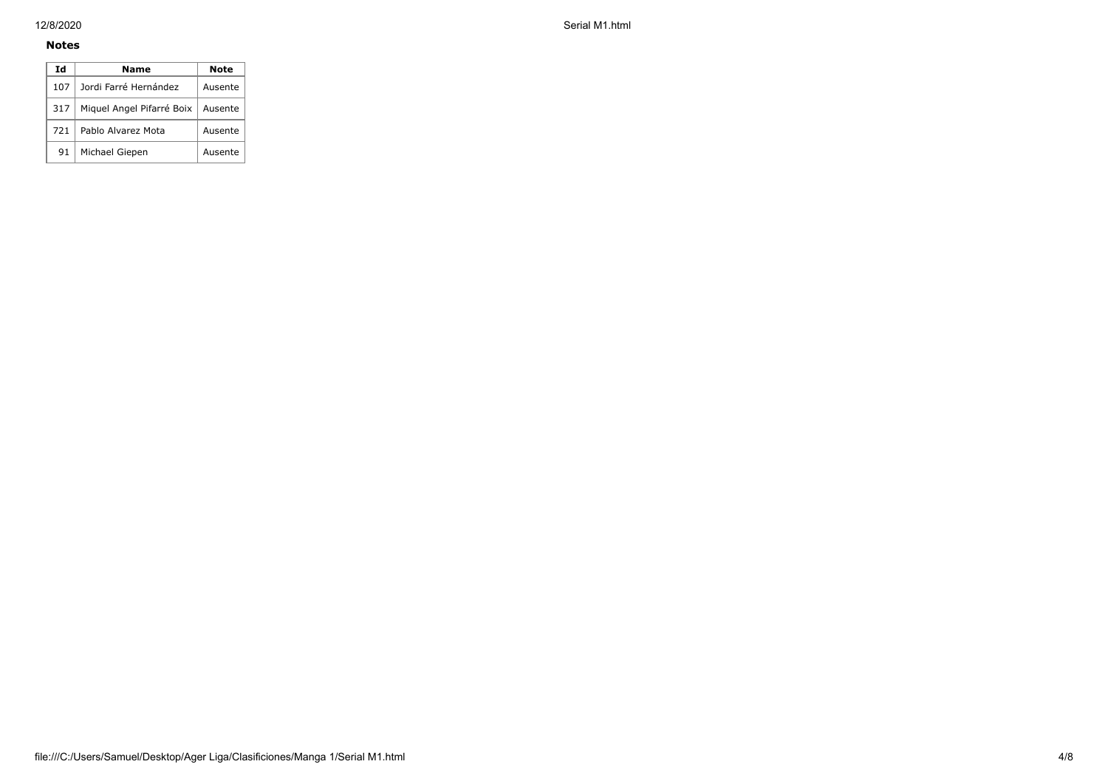### **Notes**

| Ιd  | Name                      | Note    |  |  |  |  |
|-----|---------------------------|---------|--|--|--|--|
| 107 | Jordi Farré Hernández     | Ausente |  |  |  |  |
| 317 | Miquel Angel Pifarré Boix |         |  |  |  |  |
| 721 | Pablo Alvarez Mota        | Ausente |  |  |  |  |
| 91  | Michael Giepen            | Ausente |  |  |  |  |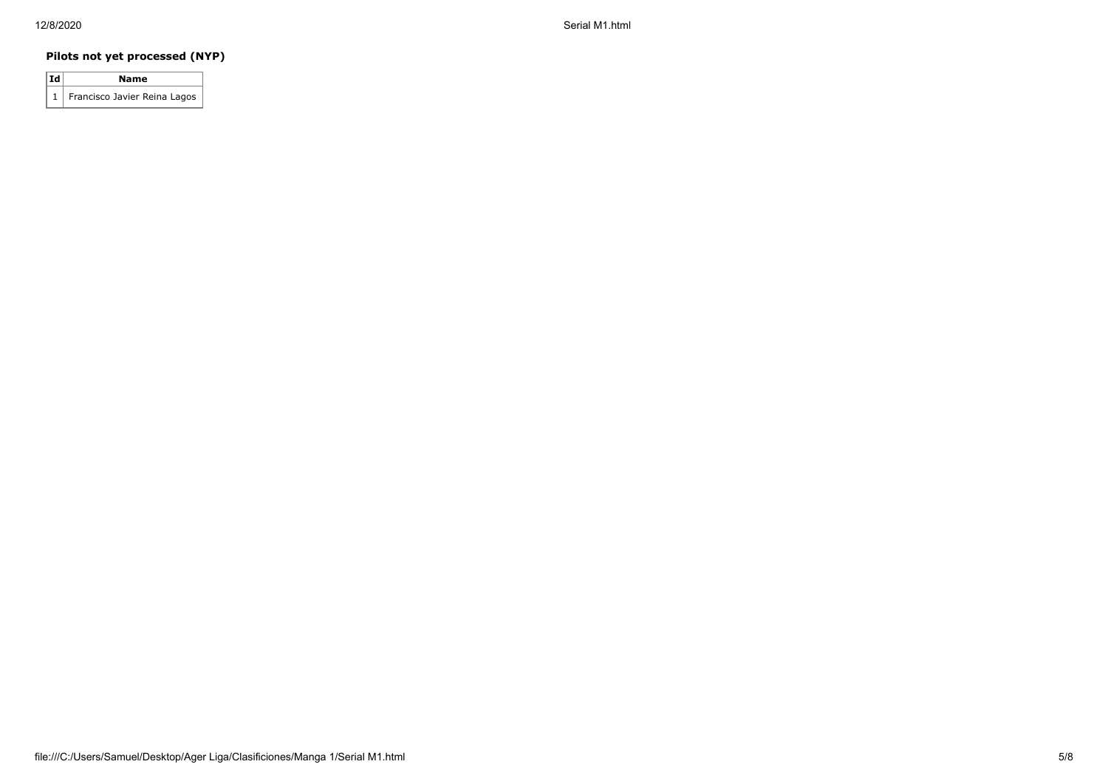## **Pilots not yet processed (NYP)**

| Id | Name                             |
|----|----------------------------------|
|    | 1   Francisco Javier Reina Lagos |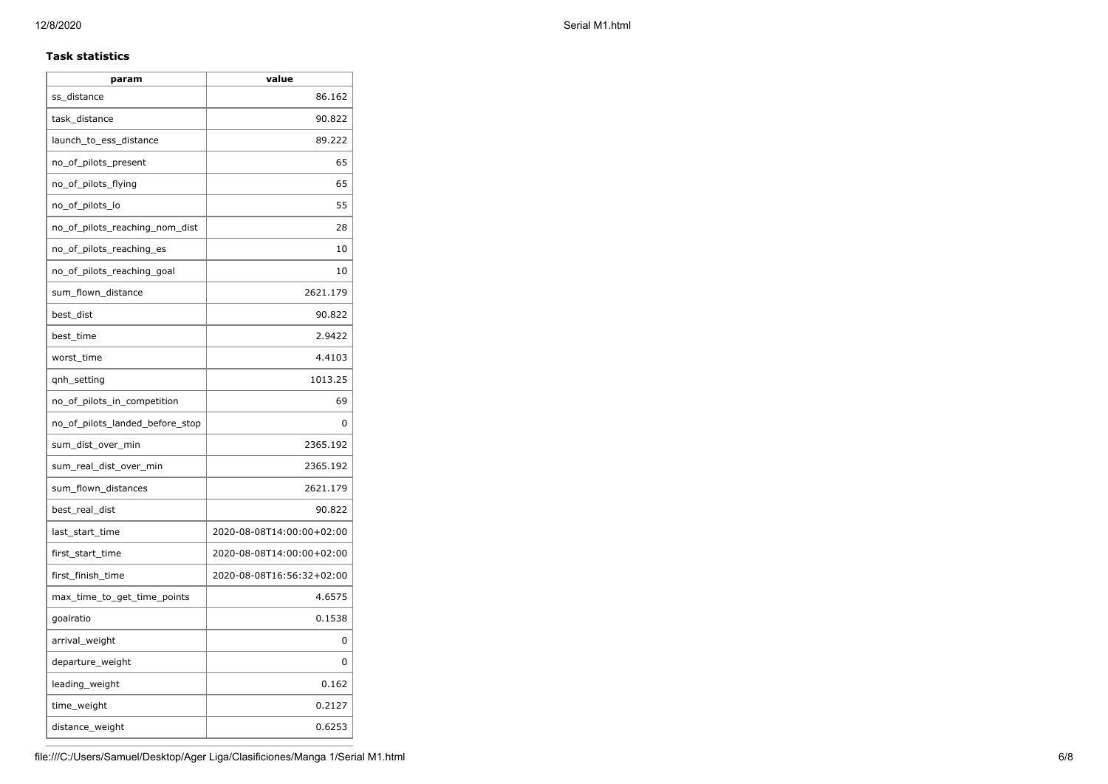### **Task statistics**

| param                           | value                     |
|---------------------------------|---------------------------|
| ss_distance                     | 86.162                    |
| task_distance                   | 90.822                    |
| launch_to_ess_distance          | 89.222                    |
| no_of_pilots_present            | 65                        |
| no_of_pilots_flying             | 65                        |
| no_of_pilots_lo                 | 55                        |
| no_of_pilots_reaching_nom_dist  | 28                        |
| no_of_pilots_reaching_es        | 10                        |
| no_of_pilots_reaching_goal      | 10                        |
| sum_flown_distance              | 2621.179                  |
| best_dist                       | 90.822                    |
| best time                       | 2.9422                    |
| worst_time                      | 4.4103                    |
| qnh_setting                     | 1013.25                   |
| no_of_pilots_in_competition     | 69                        |
| no of pilots landed before stop | 0                         |
| sum_dist_over_min               | 2365.192                  |
| sum_real_dist_over_min          | 2365.192                  |
| sum_flown_distances             | 2621.179                  |
| best_real_dist                  | 90.822                    |
| last_start_time                 | 2020-08-08T14:00:00+02:00 |
| first_start_time                | 2020-08-08T14:00:00+02:00 |
| first_finish_time               | 2020-08-08T16:56:32+02:00 |
| max_time_to_get_time_points     | 4.6575                    |
| goalratio                       | 0.1538                    |
| arrival_weight                  | 0                         |
| departure_weight                | 0                         |
| leading_weight                  | 0.162                     |
| time_weight                     | 0.2127                    |
| distance_weight                 | 0.6253                    |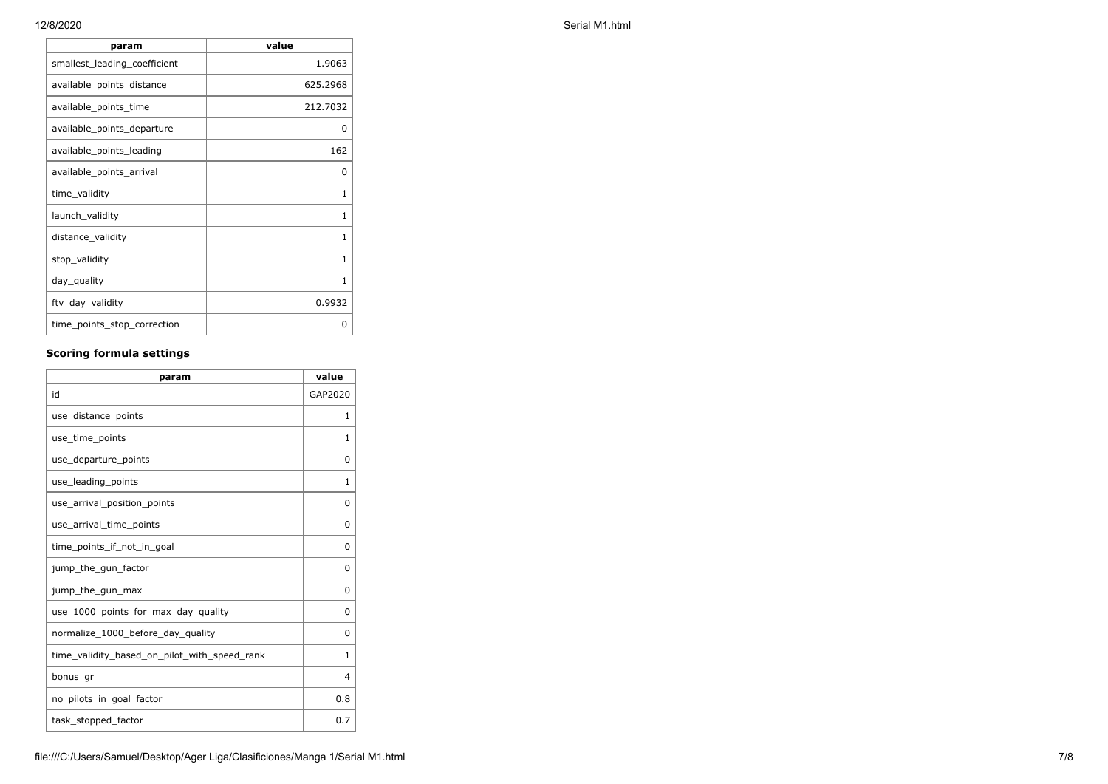| param                        | value    |
|------------------------------|----------|
| smallest_leading_coefficient | 1.9063   |
| available_points_distance    | 625.2968 |
| available_points_time        | 212.7032 |
| available_points_departure   | 0        |
| available points leading     | 162      |
| available_points_arrival     | 0        |
| time_validity                | 1        |
| launch_validity              | 1        |
| distance_validity            | 1        |
| stop_validity                | 1        |
| day_quality                  | 1        |
| ftv_day_validity             | 0.9932   |
| time_points_stop_correction  | 0        |

## **Scoring formula settings**

| param                                        | value        |
|----------------------------------------------|--------------|
| id                                           | GAP2020      |
| use_distance_points                          | 1            |
| use_time_points                              | 1            |
| use_departure_points                         | 0            |
| use leading points                           | 1            |
| use_arrival_position_points                  | 0            |
| use_arrival_time_points                      | 0            |
| time points if not in goal                   | $\Omega$     |
| jump_the_gun_factor                          | $\Omega$     |
| jump_the_gun_max                             | 0            |
| use_1000_points_for_max_day_quality          | $\Omega$     |
| normalize_1000_before_day_quality            | 0            |
| time_validity_based_on_pilot_with_speed_rank | $\mathbf{1}$ |
| bonus_gr                                     | 4            |
| no_pilots_in_goal_factor                     | 0.8          |
| task_stopped_factor                          | 0.7          |

12/8/2020 Serial M1.html